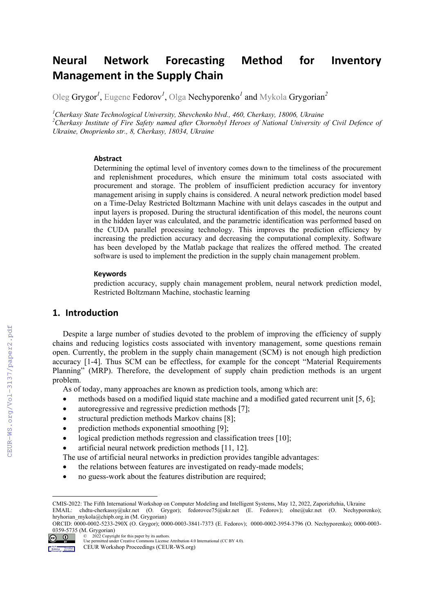# **Neural Network Forecasting Method for Inventory Management in the Supply Chain**

Oleg Grygor<sup>1</sup>, Eugene Fedorov<sup>1</sup>, Olga Nechyporenko<sup>1</sup> and Mykola Grygorian<sup>2</sup>

<sup>1</sup>Cherkasy State Technological University, Shevchenko blvd., 460, Cherkasy, 18006, Ukraine<br><sup>2</sup>Cherkasy Institute of Eine Safety named after Chernshyl Hanes of National University o

<sup>2</sup>Cherkasy Institute of Fire Safety named after Chornobyl Heroes of National University of Civil Defence of *Ukraine, Onoprienko str., 8, Cherkasy, 18034, Ukraine* 

#### **Abstract**

Determining the optimal level of inventory comes down to the timeliness of the procurement and replenishment procedures, which ensure the minimum total costs associated with procurement and storage. The problem of insufficient prediction accuracy for inventory management arising in supply chains is considered. A neural network prediction model based on a Time-Delay Restricted Boltzmann Machine with unit delays cascades in the output and input layers is proposed. During the structural identification of this model, the neurons count in the hidden layer was calculated, and the parametric identification was performed based on the CUDA parallel processing technology. This improves the prediction efficiency by increasing the prediction accuracy and decreasing the computational complexity. Software has been developed by the Matlab package that realizes the offered method. The created software is used to implement the prediction in the supply chain management problem.

#### **Keywords <sup>1</sup>**

prediction accuracy, supply chain management problem, neural network prediction model, Restricted Boltzmann Machine, stochastic learning

## **1. Introduction**

Despite a large number of studies devoted to the problem of improving the efficiency of supply chains and reducing logistics costs associated with inventory management, some questions remain open. Currently, the problem in the supply chain management (SCM) is not enough high prediction accuracy [1-4]. Thus SCM can be effectless, for example for the concept "Material Requirements Planning" (MRP). Therefore, the development of supply chain prediction methods is an urgent problem.

As of today, many approaches are known as prediction tools, among which are:

- methods based on a modified liquid state machine and a modified gated recurrent unit [5, 6];
- autoregressive and regressive prediction methods [7];
- structural prediction methods Markov chains [8];
- prediction methods exponential smoothing [9];
- logical prediction methods regression and classification trees [10];
- artificial neural network prediction methods [11, 12].

The use of artificial neural networks in prediction provides tangible advantages:

- the relations between features are investigated on ready-made models;
- no guess-work about the features distribution are required;

1

CMIS-2022: The Fifth International Workshop on Computer Modeling and Intelligent Systems, May 12, 2022, Zaporizhzhia, Ukraine EMAIL: chdtu-cherkassy@ukr.net (O. Grygor); fedorovee75@ukr.net (E. Fedorov); olne@ukr.net (O. Nechyporenko);

hryhorian\_mykola@chipb.org.in (M. Grygorian)

ORCID: 0000-0002-5233-290X (O. Grygor); 0000-0003-3841-7373 (E. Fedorov); 0000-0002-3954-3796 (O. Nechyporenko); 0000-0003-  $\frac{0359-5735}{2022}$  (M. Grygorian)

<sup>© 2022</sup> Copyright for this paper by its authors. Use permitted under Creative Commons License Attribution 4.0 International (CC BY 4.0).

CEUR Workshop Proceedings (CEUR-WS.org)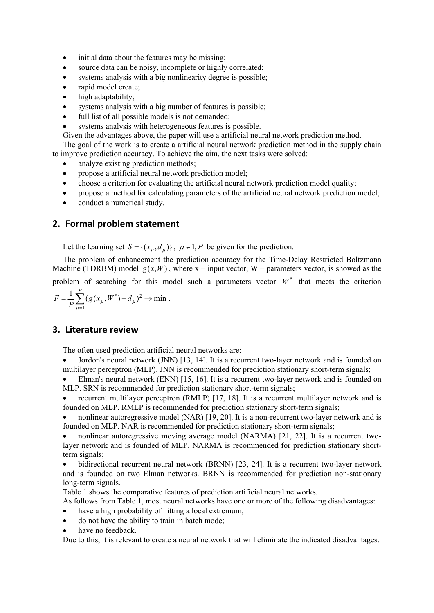- initial data about the features may be missing;
- source data can be noisy, incomplete or highly correlated;
- systems analysis with a big nonlinearity degree is possible;
- rapid model create:
- high adaptability;
- systems analysis with a big number of features is possible;
- full list of all possible models is not demanded;
- systems analysis with heterogeneous features is possible.

Given the advantages above, the paper will use a artificial neural network prediction method.

The goal of the work is to create a artificial neural network prediction method in the supply chain to improve prediction accuracy. To achieve the aim, the next tasks were solved:

- analyze existing prediction methods;
- propose a artificial neural network prediction model;
- choose a criterion for evaluating the artificial neural network prediction model quality;
- propose a method for calculating parameters of the artificial neural network prediction model;
- conduct a numerical study.

## **2. Formal problem statement**

Let the learning set  $S = \{(x_u, d_u)\}\,$ ,  $\mu \in \overline{1, P}$  be given for the prediction.

The problem of enhancement the prediction accuracy for the Time-Delay Restricted Boltzmann Machine (TDRBM) model  $g(x, W)$ , where  $x - input vector$ , W – parameters vector, is showed as the

problem of searching for this model such a parameters vector  $W^*$  that meets the criterion

 $\frac{1}{n} \sum_{i=1}^{p} (g(x_i, W^*) - d_u)^2 \to \min$  $=\frac{1}{P}\sum_{\mu=1}(g(x_{\mu},W^*)-d_{\mu})^2\to$ *P*  $g(x_{u},W^{*})-d$ *P F*  $\mu$  $(L_{\mu}, W^*) - d_{\mu}^2 \rightarrow \min$ .

## **3. Literature review**

The often used prediction artificial neural networks are:

 Jordon's neural network (JNN) [13, 14]. It is a recurrent two-layer network and is founded on multilayer perceptron (MLP). JNN is recommended for prediction stationary short-term signals;

 Elman's neural network (ENN) [15, 16]. It is a recurrent two-layer network and is founded on MLP. SRN is recommended for prediction stationary short-term signals;

 recurrent multilayer perceptron (RMLP) [17, 18]. It is a recurrent multilayer network and is founded on MLP. RMLP is recommended for prediction stationary short-term signals;

 nonlinear autoregressive model (NAR) [19, 20]. It is a non-recurrent two-layer network and is founded on MLP. NAR is recommended for prediction stationary short-term signals;

 nonlinear autoregressive moving average model (NARMA) [21, 22]. It is a recurrent twolayer network and is founded of MLP. NARMA is recommended for prediction stationary shortterm signals;

 bidirectional recurrent neural network (BRNN) [23, 24]. It is a recurrent two-layer network and is founded on two Elman networks. BRNN is recommended for prediction non-stationary long-term signals.

Table 1 shows the comparative features of prediction artificial neural networks.

As follows from Table 1, most neural networks have one or more of the following disadvantages:

- have a high probability of hitting a local extremum;
- do not have the ability to train in batch mode;
- have no feedback.

Due to this, it is relevant to create a neural network that will eliminate the indicated disadvantages.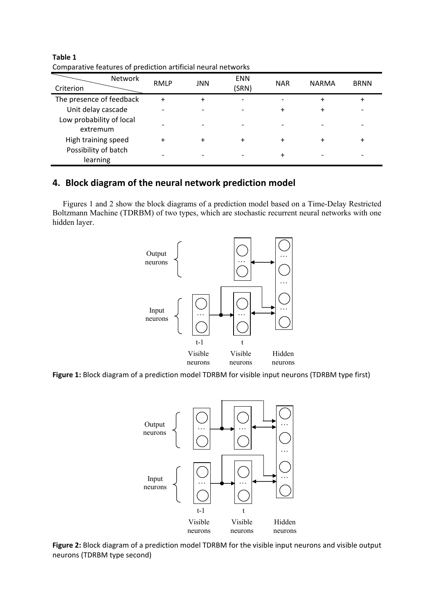| Criterion                            | <b>Network</b><br>RMLP | <b>JNN</b> | <b>ENN</b><br>(SRN) | <b>NAR</b> | <b>NARMA</b> | <b>BRNN</b> |
|--------------------------------------|------------------------|------------|---------------------|------------|--------------|-------------|
| The presence of feedback             |                        | +          |                     |            |              | +           |
| Unit delay cascade                   |                        |            |                     | ٠          | +            |             |
| Low probability of local<br>extremum |                        |            |                     |            |              |             |
| High training speed                  |                        | +          |                     | +          |              | +           |
| Possibility of batch<br>learning     |                        |            |                     | +          |              |             |

**Table 1** Comparative features of prediction artificial neural networks

## **4. Block diagram of the neural network prediction model**

Figures 1 and 2 show the block diagrams of a prediction model based on a Time-Delay Restricted Boltzmann Machine (TDRBM) of two types, which are stochastic recurrent neural networks with one hidden layer.



**Figure 1:** Block diagram of a prediction model TDRBM for visible input neurons (TDRBM type first)



**Figure 2:** Block diagram of a prediction model TDRBM for the visible input neurons and visible output neurons (TDRBM type second)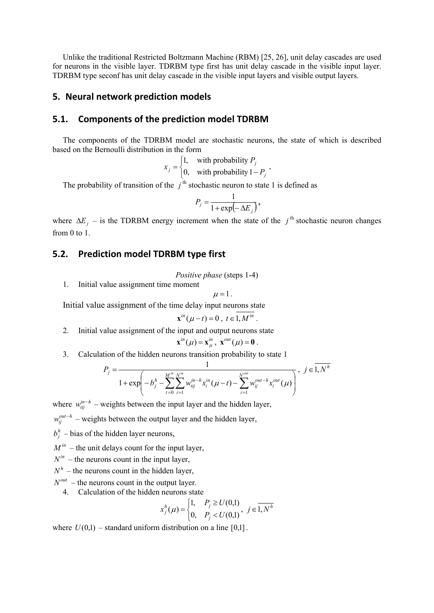Unlike the traditional Restricted Boltzmann Machine (RBM) [25, 26], unit delay cascades are used for neurons in the visible layer. TDRBM type first has unit delay cascade in the visible input layer. TDRBM type seconf has unit delay cascade in the visible input layers and visible output layers.

### **5. Neural network prediction models**

### **5.1. Components of the prediction model TDRBM**

The components of the TDRBM model are stochastic neurons, the state of which is described based on the Bernoulli distribution in the form

$$
x_j = \begin{cases} 1, & \text{with probability } P_j \\ 0, & \text{with probability } 1 - P_j \end{cases}.
$$

The probability of transition of the  $j<sup>th</sup>$  stochastic neuron to state 1 is defined as

$$
P_j = \frac{1}{1 + \exp(-\Delta E_j)},
$$

where  $\Delta E_j$  – is the TDRBM energy increment when the state of the  $j^{\text{th}}$  stochastic neuron changes from 0 to 1.

## **5.2. Prediction model TDRBM type first**

*Positive phase* (steps 1-4)

1. Initial value assignment time moment

$$
\mu=1.
$$

Initial value assignment of the time delay input neurons state

$$
\mathbf{x}^{in}(\mu - t) = 0 , t \in 1, M^{in} .
$$

- 2. Initial value assignment of the input and output neurons state  $\mathbf{x}^{in}(\mu) = \mathbf{x}_{\mu}^{in}, \ \mathbf{x}^{out}(\mu) = \mathbf{0}.$
- 3. Calculation of the hidden neurons transition probability to state 1

$$
P_{j} = \frac{1}{1 + \exp\left(-b_{j}^{h} - \sum_{t=0}^{M^{in}} \sum_{i=1}^{N^{in}} w_{tij}^{in-h} x_{i}^{in} (\mu - t) - \sum_{i=1}^{N^{out}} w_{tj}^{out-h} x_{i}^{out} (\mu)\right)}, \quad j \in \overline{1, N^{h}}
$$

where  $w_{tij}^{in-h}$  – weights between the input layer and the hidden layer,

 $w_{ij}^{out-h}$  – weights between the output layer and the hidden layer,

 $b_i^h$  – bias of the hidden layer neurons,

 $M^{in}$  – the unit delays count for the input layer,

- $N^{in}$  the neurons count in the input layer,
- $N<sup>h</sup>$  the neurons count in the hidden layer,
- $N^{out}$  the neurons count in the output layer.
	- 4. Calculation of the hidden neurons state

$$
x_j^h(\mu) = \begin{cases} 1, & P_j \ge U(0,1) \\ 0, & P_j < U(0,1) \end{cases}, \ j \in \overline{1, N^h}
$$

where  $U(0,1)$  – standard uniform distribution on a line [0,1].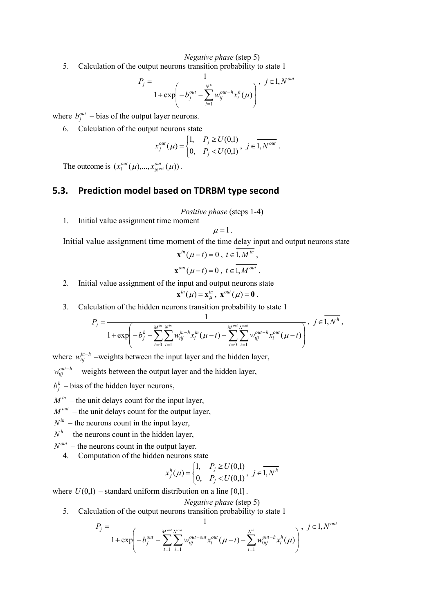*Negative phase* (step 5)

5. Calculation of the output neurons transition probability to state 1

$$
P_{j} = \frac{1}{1 + \exp\left(-b_{j}^{out} - \sum_{i=1}^{N^{h}} w_{ij}^{out-h} x_{i}^{h}(\mu)\right)}, \ \ j \in \overline{1, N^{out}}
$$

where  $b_j^{out}$  – bias of the output layer neurons.

6. Calculation of the output neurons state

$$
x_j^{out}(\mu) = \begin{cases} 1, & P_j \ge U(0,1) \\ 0, & P_j < U(0,1) \end{cases}, \ j \in \overline{1, N^{out}}.
$$

The outcome is  $(x_1^{out}(\mu),...,x_{N^{out}}^{out}(\mu))$ .

## **5.3. Prediction model based on TDRBM type second**

- *Positive phase* (steps 1-4)
- 1. Initial value assignment time moment

$$
\mu=1.
$$

Initial value assignment time moment of the time delay input and output neurons state

$$
\mathbf{x}^{in}(\mu - t) = 0, t \in 1, M^{in},
$$
  

$$
\mathbf{x}^{out}(\mu - t) = 0, t \in \overline{1, M^{out}}.
$$

2. Initial value assignment of the input and output neurons state

$$
\mathbf{x}^{in}(\mu) = \mathbf{x}_{\mu}^{in}, \mathbf{x}^{out}(\mu) = \mathbf{0}.
$$

3. Calculation of the hidden neurons transition probability to state 1

$$
P_j = \frac{1}{1 + \exp\left(-b_j^h - \sum_{t=0}^{M^m} \sum_{i=1}^{N^m} w_{tij}^{in-h} x_i^{in} (\mu - t) - \sum_{t=0}^{M^{out}} \sum_{i=1}^{N^{out}} w_{tij}^{out-h} x_i^{out} (\mu - t)\right)}, \ \ j \in \overline{1, N^h},
$$

where  $w_{ij}^{in-h}$  –weights between the input layer and the hidden layer,

 $w_{tij}^{out-h}$  – weights between the output layer and the hidden layer,

 $b_i^h$  – bias of the hidden layer neurons,

 $M^{in}$  – the unit delays count for the input layer,

 $M^{out}$  – the unit delays count for the output layer,

 $N^{in}$  – the neurons count in the input layer,

 $N<sup>h</sup>$  – the neurons count in the hidden layer,

- $N^{out}$  the neurons count in the output layer.
	- 4. Computation of the hidden neurons state

$$
x_j^h(\mu) = \begin{cases} 1, & P_j \ge U(0,1) \\ 0, & P_j < U(0,1) \end{cases}, \ j \in \overline{1, N^h}
$$

where  $U(0,1)$  – standard uniform distribution on a line [0,1].

#### *Negative phase* (step 5)

5. Calculation of the output neurons transition probability to state 1

$$
P_{j} = \frac{1}{1 + \exp\left(-b_{j}^{out} - \sum_{t=1}^{M^{out}} \sum_{i=1}^{N^{out}} w_{tij}^{out-out} x_{i}^{out} (\mu - t) - \sum_{i=1}^{N^{h}} w_{0ij}^{out-h} x_{i}^{h} (\mu)\right)}, \ j \in \overline{1, N^{out}}
$$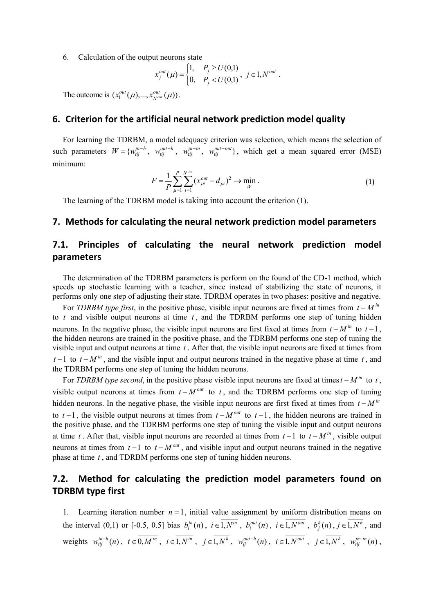6. Calculation of the output neurons state

$$
x_j^{out}(\mu) = \begin{cases} 1, & P_j \ge U(0,1) \\ 0, & P_j < U(0,1) \end{cases}, \ j \in \overline{1, N^{out}}.
$$

The outcome is  $(x_1^{out}(\mu),..., x_{N^{out}}^{out}(\mu))$ .

#### **6. Criterion for the artificial neural network prediction model quality**

For learning the TDRBM, a model adequacy criterion was selection, which means the selection of such parameters  $W = \{w_{tij}^{in-h}, w_{tij}^{out-h}, w_{tij}^{in-in}, w_{tij}^{out-out}\}$ , which get a mean squared error (MSE) minimum:

$$
F = \frac{1}{P} \sum_{\mu=1}^{P} \sum_{i=1}^{N^{out}} (x_{\mu i}^{out} - d_{\mu i})^2 \to \min_{W} .
$$
 (1)

The learning of the TDRBM model is taking into account the criterion (1).

### **7. Methods for calculating the neural network prediction model parameters**

## **7.1. Principles of calculating the neural network prediction model parameters**

The determination of the TDRBM parameters is perform on the found of the CD-1 method, which speeds up stochastic learning with a teacher, since instead of stabilizing the state of neurons, it performs only one step of adjusting their state. TDRBM operates in two phases: positive and negative.

For *TDRBM type first*, in the positive phase, visible input neurons are fixed at times from  $t - M^{in}$ to *t* and visible output neurons at time *t* , and the TDRBM performs one step of tuning hidden neurons. In the negative phase, the visible input neurons are first fixed at times from  $t-M^{in}$  to  $t-1$ , the hidden neurons are trained in the positive phase, and the TDRBM performs one step of tuning the visible input and output neurons at time *t* . After that, the visible input neurons are fixed at times from  $t-1$  to  $t-M^{\text{in}}$ , and the visible input and output neurons trained in the negative phase at time  $t$ , and the TDRBM performs one step of tuning the hidden neurons.

For *TDRBM type second*, in the positive phase visible input neurons are fixed at times  $t - M^{in}$  to  $t$ , visible output neurons at times from  $t - M^{out}$  to t, and the TDRBM performs one step of tuning hidden neurons. In the negative phase, the visible input neurons are first fixed at times from  $t - M^{in}$ to  $t-1$ , the visible output neurons at times from  $t-M^{out}$  to  $t-1$ , the hidden neurons are trained in the positive phase, and the TDRBM performs one step of tuning the visible input and output neurons at time *t*. After that, visible input neurons are recorded at times from  $t-1$  to  $t-M^m$ , visible output neurons at times from  $t-1$  to  $t-M^{out}$ , and visible input and output neurons trained in the negative phase at time *t* , and TDRBM performs one step of tuning hidden neurons.

## **7.2. Method for calculating the prediction model parameters found on TDRBM type first**

1. Learning iteration number  $n = 1$ , initial value assignment by uniform distribution means on the interval (0,1) or [-0.5, 0.5] bias  $b_i^{in}(n)$ ,  $i \in 1, N^{in}$ ,  $b_i^{out}(n)$ ,  $i \in 1, N^{out}$ ,  $b_j^{h}(n)$ ,  $j \in 1, N^h$ , and weights  $w_{tij}^{in-h}(n)$ ,  $t \in 0, M^{in}$ ,  $i \in 1, N^{in}$ ,  $j \in 1, N^{h}$ ,  $w_{tij}^{out-h}(n)$ ,  $i \in 1, N^{out}$ ,  $j \in 1, N^{h}$ ,  $w_{tij}^{in-in}(n)$ ,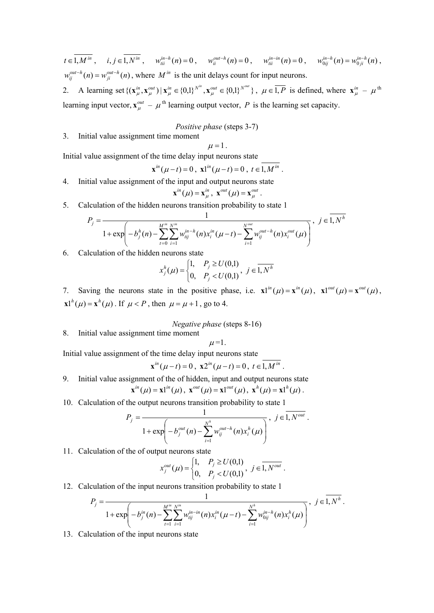$t \in 1, M^{in}$ ,  $i, j \in 1, N^{in}$ ,  $w_{iii}^{in-h}(n) = 0$ ,  $w_{ii}^{out-h}(n) = 0$ ,  $w_{iii}^{in-in}(n) = 0$ ,  $w_{0ij}^{in-h}(n) = w_{0ji}^{in-h}(n)$ ,  $w_{ij}^{out-h}(n) = w_{ji}^{out-h}(n)$ , where  $M^{in}$  is the unit delays count for input neurons.

2. A learning set  $\{({\bf x}_{\mu}^{in},{\bf x}_{\mu}^{out}) | {\bf x}_{\mu}^{in} \in \{0,1\}^{N^{in}}, {\bf x}_{\mu}^{out} \in \{0,1\}^{N^{out}}\}, \mu \in \overline{1,P}$  is defined, where  ${\bf x}_{\mu}^{in} - {\boldsymbol \mu}^{th}$ learning input vector,  $\mathbf{x}_{\mu}^{out} - \mu^{th}$  learning output vector, *P* is the learning set capacity.

## *Positive phase* (steps 3-7)

3. Initial value assignment time moment

 $\mu = 1$ .

Initial value assignment of the time delay input neurons state

$$
\mathbf{x}^{in}(\mu - t) = 0 , \mathbf{x}^{in}(\mu - t) = 0 , t \in 1, M^{in} .
$$

4. Initial value assignment of the input and output neurons state

$$
\mathbf{x}^{in}(\mu) = \mathbf{x}_{\mu}^{in}, \ \mathbf{x}^{out}(\mu) = \mathbf{x}_{\mu}^{out}.
$$

5. Calculation of the hidden neurons transition probability to state 1

$$
P_j = \frac{1}{1 + \exp\left(-b_j^h(n) - \sum_{t=0}^{M^m} \sum_{i=1}^{N^m} w_{tij}^{in-h}(n) x_i^{in}(\mu - t) - \sum_{i=1}^{N^{out}} w_{tij}^{out-h}(n) x_i^{out}(\mu)\right)}, \ j \in \overline{1, N^h}
$$

6. Calculation of the hidden neurons state

$$
x_j^h(\mu) = \begin{cases} 1, & P_j \ge U(0,1) \\ 0, & P_j < U(0,1) \end{cases}, \ j \in \overline{1, N^h}
$$

7. Saving the neurons state in the positive phase, i.e.  $\mathbf{x} \mathbf{l}^{in}(\mu) = \mathbf{x}^{in}(\mu)$ ,  $\mathbf{x} \mathbf{l}^{out}(\mu) = \mathbf{x}^{out}(\mu)$ ,  $x1^{h}(\mu) = x^{h}(\mu)$ . If  $\mu < P$ , then  $\mu = \mu + 1$ , go to 4.

*Negative phase* (steps 8-16)

8. Initial value assignment time moment

$$
\mu = 1.
$$

Initial value assignment of the time delay input neurons state

$$
\mathbf{x}^{in}(\mu - t) = 0 , \mathbf{x}^{in}(\mu - t) = 0 , t \in 1, M^{in} .
$$

9. Initial value assignment of the of hidden, input and output neurons state

$$
\mathbf{x}^{in}(\mu) = \mathbf{x}1^{in}(\mu), \ \mathbf{x}^{out}(\mu) = \mathbf{x}1^{out}(\mu), \ \mathbf{x}^{h}(\mu) = \mathbf{x}1^{h}(\mu).
$$

10. Calculation of the output neurons transition probability to state 1

$$
P_j = \frac{1}{1 + \exp\left(-b_j^{out}(n) - \sum_{i=1}^{N^h} w_{ij}^{out-h}(n) x_i^h(\mu)\right)}, \ j \in \overline{1, N^{out}}.
$$

11. Calculation of the of output neurons state

$$
x_j^{out}(\mu) = \begin{cases} 1, & P_j \ge U(0,1) \\ 0, & P_j < U(0,1) \end{cases}, \ j \in \overline{1, N^{out}}.
$$

12. Calculation of the input neurons transition probability to state 1

$$
P_j = \frac{1}{1 + \exp\left(-b_j^{in}(n) - \sum_{t=1}^{M^{in}} \sum_{i=1}^{N^{in}} w_{tij}^{in-in}(n) x_i^{in}(\mu - t) - \sum_{i=1}^{N^h} w_{0ij}^{in-h}(n) x_i^h(\mu)\right)}, \ j \in \overline{1, N^h}.
$$

13. Calculation of the input neurons state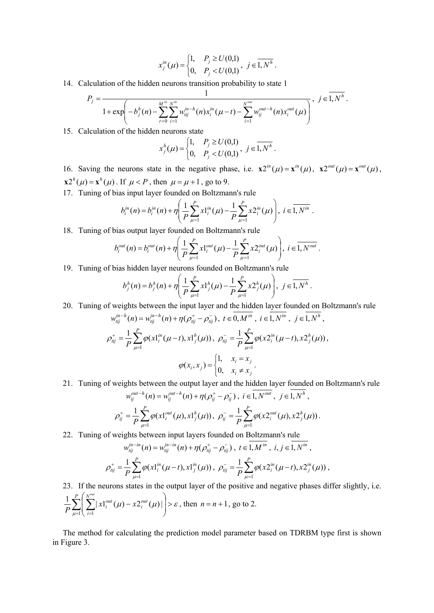$$
x_j^{in}(\mu) = \begin{cases} 1, & P_j \ge U(0,1) \\ 0, & P_j < U(0,1) \end{cases}, j \in \overline{1, N^h}.
$$

14. Calculation of the hidden neurons transition probability to state 1

$$
P_j = \frac{1}{1 + \exp\left(-b_j^h(n) - \sum_{t=0}^{M^{in}} \sum_{i=1}^{N^{in}} w_{tij}^{in-h}(n) x_i^{in}(\mu - t) - \sum_{i=1}^{N^{out}} w_{ij}^{out-h}(n) x_i^{out}(\mu)\right)}, \ j \in \overline{1, N^h}.
$$

15. Calculation of the hidden neurons state

$$
x_j^h(\mu) = \begin{cases} 1, & P_j \ge U(0,1) \\ 0, & P_j < U(0,1) \end{cases}, \ j \in \overline{1, N^h} \ .
$$

16. Saving the neurons state in the negative phase, i.e.  $\mathbf{x} 2^{in}(\mu) = \mathbf{x}^{in}(\mu)$ ,  $\mathbf{x} 2^{out}(\mu) = \mathbf{x}^{out}(\mu)$ ,  $x2^{h}(\mu) = x^{h}(\mu)$ . If  $\mu < P$ , then  $\mu = \mu + 1$ , go to 9.

17. Tuning of bias input layer founded on Boltzmann's rule

$$
b_i^{in}(n) = b_i^{in}(n) + \eta \left( \frac{1}{P} \sum_{\mu=1}^P x 1_i^{in}(\mu) - \frac{1}{P} \sum_{\mu=1}^P x 2_i^{in}(\mu) \right), i \in \overline{1, N^{in}}.
$$

18. Tuning of bias output layer founded on Boltzmann's rule

$$
b_i^{out}(n) = b_i^{out}(n) + \eta \left( \frac{1}{P} \sum_{\mu=1}^P x 1_i^{out}(\mu) - \frac{1}{P} \sum_{\mu=1}^P x 2_i^{out}(\mu) \right), i \in \overline{1, N^{out}}.
$$

19. Tuning of bias hidden layer neurons founded on Boltzmann's rule

$$
b_j^h(n) = b_j^h(n) + \eta \left( \frac{1}{P} \sum_{\mu=1}^P x 1_j^h(\mu) - \frac{1}{P} \sum_{\mu=1}^P x 2_j^h(\mu) \right), \ j \in \overline{1, N^h} \ .
$$

20. Tuning of weights between the input layer and the hidden layer founded on Boltzmann's rule

$$
w_{ij}^{in-h}(n) = w_{ij}^{in-h}(n) + \eta(\rho_{ij}^+ - \rho_{ij}^-), \ t \in 0, M^{in}, \ i \in 1, N^{in}, \ j \in 1, N^h,
$$
  

$$
\rho_{ij}^+ = \frac{1}{P} \sum_{\mu=1}^P \varphi(x1_i^{in}(\mu - t), x1_j^{h}(\mu)), \ \rho_{ij}^- = \frac{1}{P} \sum_{\mu=1}^P \varphi(x2_i^{in}(\mu - t), x2_j^{h}(\mu)),
$$
  

$$
\varphi(x_i, x_j) = \begin{cases} 1, & x_i = x_j \\ 0, & x_i \neq x_j \end{cases}.
$$

21. Tuning of weights between the output layer and the hidden layer founded on Boltzmann's rule

$$
w_{ij}^{out-h}(n) = w_{ij}^{out-h}(n) + \eta(\rho_{ij}^+ - \rho_{ij}^-), \ i \in 1, N^{out}, \ j \in 1, N^h,
$$
  

$$
\rho_{ij}^+ = \frac{1}{P} \sum_{\mu=1}^P \varphi(x1_i^{out}(\mu), x1_j^h(\mu)), \ \rho_{ij}^- = \frac{1}{P} \sum_{\mu=1}^P \varphi(x2_i^{out}(\mu), x2_j^h(\mu)).
$$

22. Tuning of weights between input layers founded on Boltzmann's rule

$$
w_{tij}^{in-in}(n) = w_{tij}^{in-in}(n) + \eta(\rho_{tij}^+ - \rho_{tij}^-), \ t \in 1, M^{in}, \ i, j \in 1, N^{in},
$$
  

$$
\rho_{tij}^+ = \frac{1}{P} \sum_{\mu=1}^P \varphi(x1_i^{in}(\mu-t), x1_j^{in}(\mu)), \ \rho_{tij}^- = \frac{1}{P} \sum_{\mu=1}^P \varphi(x2_i^{in}(\mu-t), x2_j^{in}(\mu)),
$$

23. If the neurons states in the output layer of the positive and negative phases differ slightly, i.e.

$$
\frac{1}{P} \sum_{\mu=1}^{P} \left( \sum_{i=1}^{N^{out}} |x|_{i}^{out}(\mu) - x 2_{i}^{out}(\mu) | \right) > \varepsilon, \text{ then } n = n+1, \text{ go to 2.}
$$

The method for calculating the prediction model parameter based on TDRBM type first is shown in Figure 3.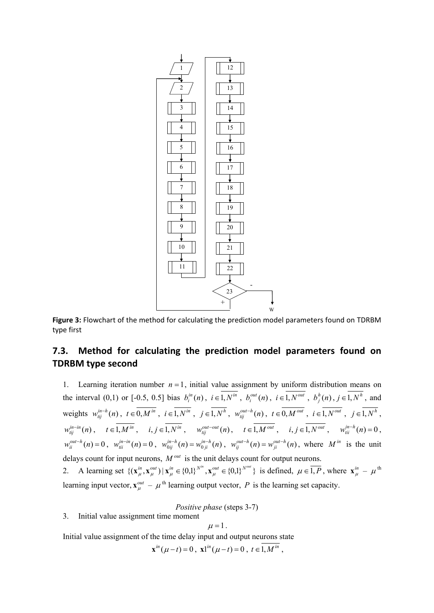

**Figure 3:** Flowchart of the method for calculating the prediction model parameters found on TDRBM type first

## **7.3. Method for calculating the prediction model parameters found on TDRBM type second**

1. Learning iteration number  $n = 1$ , initial value assignment by uniform distribution means on the interval (0,1) or [-0.5, 0.5] bias  $b_i^{in}(n)$ ,  $i \in 1, N^{in}$ ,  $b_i^{out}(n)$ ,  $i \in 1, N^{out}$ ,  $b_j^{h}(n)$ ,  $j \in 1, N^h$ , and weights  $w_{tij}^{in-h}(n)$ ,  $t \in 0, M^{in}$ ,  $i \in 1, N^{in}$ ,  $j \in 1, N^{h}$ ,  $w_{tij}^{out-h}(n)$ ,  $t \in 0, M^{out}$ ,  $i \in 1, N^{out}$ ,  $j \in 1, N^{h}$ ,  $w_{tij}^{in-in}(n)$ ,  $t \in 1, M^{in}$ ,  $i, j \in 1, N^{in}$ ,  $w_{tij}^{out-out}(n)$ ,  $t \in 1, M^{out}$ ,  $i, j \in 1, N^{out}$ ,  $w_{tii}^{in-h}(n) = 0$ ,  $w_{ii}^{out-h}(n) = 0$ ,  $w_{ii}^{in-in}(n) = 0$ ,  $w_{0ij}^{in-h}(n) = w_{0ji}^{in-h}(n)$ ,  $w_{ij}^{out-h}(n) = w_{ji}^{out-h}(n)$ , where  $M^{in}$  is the unit delays count for input neurons,  $M^{out}$  is the unit delays count for output neurons.

2. A learning set  $\{({\bf x}_{\mu}^{in},{\bf x}_{\mu}^{out}) | {\bf x}_{\mu}^{in} \in \{0,1\}^{N^m}, {\bf x}_{\mu}^{out} \in \{0,1\}^{N^{out}}\}$  is defined,  $\mu \in \overline{1,P}$ , where  ${\bf x}_{\mu}^{in} - {\boldsymbol \mu}^{th}$ learning input vector,  $\mathbf{x}_{\mu}^{out} - \mu^{th}$  learning output vector, *P* is the learning set capacity.

*Positive phase* (steps 3-7)

3. Initial value assignment time moment

$$
\mu=1.
$$

Initial value assignment of the time delay input and output neurons state

$$
\mathbf{x}^{in}(\mu - t) = 0, \ \mathbf{x}^{in}(\mu - t) = 0, \ t \in 1, M^{in},
$$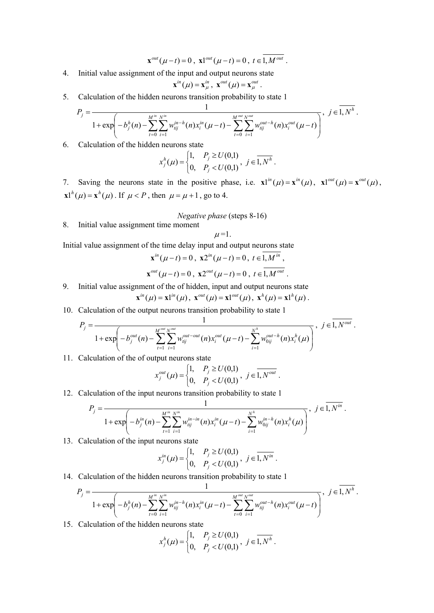$$
\mathbf{x}^{out}(\mu - t) = 0 , \mathbf{x}^{out}(\mu - t) = 0 , t \in 1, M^{out} .
$$

4. Initial value assignment of the input and output neurons state

$$
\mathbf{x}^{in}(\mu) = \mathbf{x}_{\mu}^{in}, \ \mathbf{x}^{out}(\mu) = \mathbf{x}_{\mu}^{out}.
$$

5. Calculation of the hidden neurons transition probability to state 1

$$
P_j = \frac{1}{1 + \exp\left(-b_j^h(n) - \sum_{t=0}^{M^{in}} \sum_{i=1}^{N^{in}} w_{tij}^{in-h}(n) x_i^{in}(\mu - t) - \sum_{t=0}^{M^{out}} \sum_{i=1}^{N^{out}} w_{tij}^{out-h}(n) x_i^{out}(\mu - t)\right)}, \ \ j \in \overline{1, N^h}.
$$

6. Calculation of the hidden neurons state

$$
x_j^h(\mu) = \begin{cases} 1, & P_j \ge U(0,1) \\ 0, & P_j < U(0,1) \end{cases}, \quad j \in \overline{1, N^h} \, .
$$

7. Saving the neurons state in the positive phase, i.e.  $\mathbf{x} \mathbf{l}^{in}(\mu) = \mathbf{x}^{in}(\mu)$ ,  $\mathbf{x} \mathbf{l}^{out}(\mu) = \mathbf{x}^{out}(\mu)$ ,  $\mathbf{x} \mathbf{1}^h(\mu) = \mathbf{x}^h(\mu)$ . If  $\mu < P$ , then  $\mu = \mu + 1$ , go to 4.

- *Negative phase* (steps 8-16)
- 8. Initial value assignment time moment

$$
\mu = 1
$$
.

Initial value assignment of the time delay input and output neurons state

$$
\mathbf{x}^{in}(\mu - t) = 0, \ \mathbf{x}^{in}(\mu - t) = 0, \ t \in 1, M^{in},
$$

$$
\mathbf{x}^{out}(\mu - t) = 0, \ \mathbf{x}^{out}(\mu - t) = 0, \ t \in \overline{1, M^{out}}.
$$

9. Initial value assignment of the of hidden, input and output neurons state

$$
\mathbf{x}^{in}(\mu) = \mathbf{x}1^{in}(\mu), \ \mathbf{x}^{out}(\mu) = \mathbf{x}1^{out}(\mu), \ \mathbf{x}^{h}(\mu) = \mathbf{x}1^{h}(\mu).
$$

10. Calculation of the output neurons transition probability to state 1

$$
P_j = \frac{1}{1 + \exp\left(-b_j^{out}(n) - \sum_{t=1}^{M^{out}} \sum_{i=1}^{N^{out}} w_{tij}^{out-out}(n) x_i^{out} (\mu - t) - \sum_{i=1}^{N^h} w_{0ij}^{out-h}(n) x_i^h(\mu)\right)}, \ \ j \in \overline{1, N^{out}}.
$$

11. Calculation of the of output neurons state

$$
x_j^{out}(\mu) = \begin{cases} 1, & P_j \ge U(0,1) \\ 0, & P_j < U(0,1) \end{cases}, \ j \in \overline{1, N^{out}}.
$$

12. Calculation of the input neurons transition probability to state 1

$$
P_j = \frac{1}{1 + \exp\left(-b_j^{in}(n) - \sum_{t=1}^{M^{in}} \sum_{i=1}^{N^{in}} w_{tij}^{in-in}(n) x_i^{in}(\mu - t) - \sum_{i=1}^{N^h} w_{0ij}^{in-h}(n) x_i^h(\mu)\right)}, \ j \in \overline{1, N^{in}}.
$$

13. Calculation of the input neurons state

$$
x_j^{in}(\mu) = \begin{cases} 1, & P_j \ge U(0,1) \\ 0, & P_j < U(0,1) \end{cases}, j \in \overline{1, N^{in}}.
$$

14. Calculation of the hidden neurons transition probability to state 1

$$
P_j = \frac{1}{1 + \exp\left(-b_j^h(n) - \sum_{t=0}^{M^{in}} \sum_{i=1}^{N^{in}} w_{tij}^{in-h}(n) x_i^{in}(\mu - t) - \sum_{t=0}^{M^{out}} \sum_{i=1}^{N^{out}} w_{tij}^{out-h}(n) x_i^{out}(\mu - t)\right)}, \quad j \in \overline{1, N^h}.
$$

15. Calculation of the hidden neurons state

$$
x_j^h(\mu) = \begin{cases} 1, & P_j \ge U(0,1) \\ 0, & P_j < U(0,1) \end{cases}, \ j \in \overline{1, N^h} \ .
$$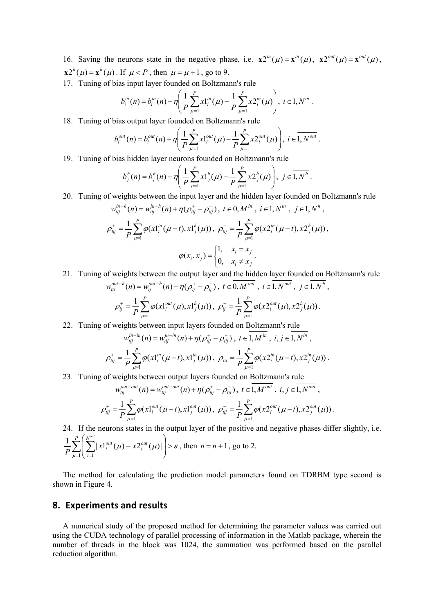- 16. Saving the neurons state in the negative phase, i.e.  $\mathbf{x} 2^{in}(\mu) = \mathbf{x}^{in}(\mu)$ ,  $\mathbf{x} 2^{out}(\mu) = \mathbf{x}^{out}(\mu)$ ,  $x^{2h}(\mu) = x^{h}(\mu)$ . If  $\mu < P$ , then  $\mu = \mu + 1$ , go to 9.
- 17. Tuning of bias input layer founded on Boltzmann's rule

$$
b_i^{in}(n) = b_i^{in}(n) + \eta \left( \frac{1}{P} \sum_{\mu=1}^P x 1_i^{in}(\mu) - \frac{1}{P} \sum_{\mu=1}^P x 2_i^{in}(\mu) \right), i \in \overline{1, N^{in}}.
$$

18. Tuning of bias output layer founded on Boltzmann's rule

$$
b_i^{out}(n) = b_i^{out}(n) + \eta \left( \frac{1}{P} \sum_{\mu=1}^P x 1_i^{out}(\mu) - \frac{1}{P} \sum_{\mu=1}^P x 2_i^{out}(\mu) \right), i \in \overline{1, N^{out}}.
$$

19. Tuning of bias hidden layer neurons founded on Boltzmann's rule

$$
b_j^h(n) = b_j^h(n) + \eta \left( \frac{1}{P} \sum_{\mu=1}^P x 1_j^h(\mu) - \frac{1}{P} \sum_{\mu=1}^P x 2_j^h(\mu) \right), \ j \in \overline{1, N^h}.
$$

20. Tuning of weights between the input layer and the hidden layer founded on Boltzmann's rule

$$
w_{ij}^{in-h}(n) = w_{ij}^{in-h}(n) + \eta(\rho_{ij}^+ - \rho_{ij}^-), \ t \in \overline{0,M}^{in}, \ i \in I, N^{in}, \ j \in \overline{1,N}^h,
$$
  

$$
\rho_{ij}^+ = \frac{1}{P} \sum_{\mu=1}^P \varphi(x1_i^{in}(\mu-t), x1_j^{h}(\mu)), \ \rho_{ij}^- = \frac{1}{P} \sum_{\mu=1}^P \varphi(x2_i^{in}(\mu-t), x2_j^{h}(\mu)),
$$
  

$$
\varphi(x_i, x_j) = \begin{cases} 1, & x_i = x_j \\ 0, & x_i \neq x_j \end{cases}.
$$

21. Tuning of weights between the output layer and the hidden layer founded on Boltzmann's rule

$$
w_{tij}^{out-h}(n) = w_{tj}^{out-h}(n) + \eta(\rho_{tj}^+ - \rho_{tj}^-), \ t \in \overline{0, M^{out}}, \ i \in \overline{1, N^{out}}, \ j \in \overline{1, N^h},
$$
  

$$
\rho_{tj}^+ = \frac{1}{P} \sum_{\mu=1}^P \varphi(x1_i^{out}(\mu), x1_j^h(\mu)), \ \rho_{tj}^- = \frac{1}{P} \sum_{\mu=1}^P \varphi(x2_i^{out}(\mu), x2_j^h(\mu)).
$$

22. Tuning of weights between input layers founded on Boltzmann's rule

$$
w_{tij}^{in-in}(n) = w_{tij}^{in-in}(n) + \eta(\rho_{tij}^+ - \rho_{tij}^-), \ t \in 1, M^{in}, \ i, j \in 1, N^{in},
$$
  

$$
\rho_{tij}^+ = \frac{1}{P} \sum_{\mu=1}^P \varphi(x1_i^{in}(\mu - t), x1_j^{in}(\mu)), \ \rho_{tij}^- = \frac{1}{P} \sum_{\mu=1}^P \varphi(x2_i^{in}(\mu - t), x2_j^{in}(\mu)).
$$

23. Tuning of weights between output layers founded on Boltzmann's rule

$$
w_{ij}^{out-out}(n) = w_{ij}^{out-out}(n) + \eta(\rho_{ij}^+ - \rho_{ij}^-), \ t \in 1, M^{out}, \ i, j \in 1, N^{out},
$$
  

$$
\rho_{ij}^+ = \frac{1}{P} \sum_{\mu=1}^P \varphi(x1_i^{out}(\mu-t), x1_j^{out}(\mu)), \ \rho_{ij}^- = \frac{1}{P} \sum_{\mu=1}^P \varphi(x2_i^{out}(\mu-t), x2_j^{out}(\mu)).
$$

24. If the neurons states in the output layer of the positive and negative phases differ slightly, i.e.

$$
\frac{1}{P} \sum_{\mu=1}^{P} \left( \sum_{i=1}^{N^{out}} |x1^{out}_{i}(\mu) - x2^{out}_{i}(\mu) | \right) > \varepsilon, \text{ then } n = n + 1, \text{ go to 2.}
$$

The method for calculating the prediction model parameters found on TDRBM type second is shown in Figure 4.

### **8. Experiments and results**

A numerical study of the proposed method for determining the parameter values was carried out using the CUDA technology of parallel processing of information in the Matlab package, wherein the number of threads in the block was 1024, the summation was performed based on the parallel reduction algorithm.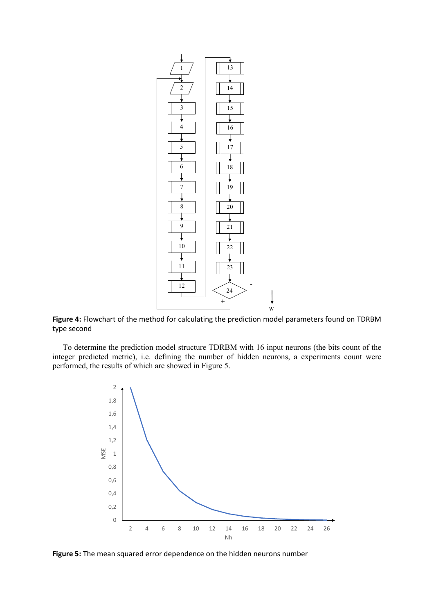

**Figure 4:** Flowchart of the method for calculating the prediction model parameters found on TDRBM type second

To determine the prediction model structure TDRBM with 16 input neurons (the bits count of the integer predicted metric), i.e. defining the number of hidden neurons, a experiments count were performed, the results of which are showed in Figure 5.



**Figure 5:** The mean squared error dependence on the hidden neurons number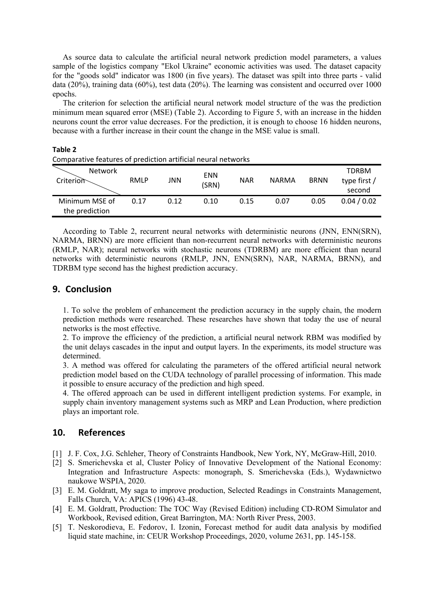As source data to calculate the artificial neural network prediction model parameters, a values sample of the logistics company "Ekol Ukraine" economic activities was used. The dataset capacity for the "goods sold" indicator was 1800 (in five years). The dataset was spilt into three parts - valid data (20%), training data (60%), test data (20%). The learning was consistent and occurred over 1000 epochs.

The criterion for selection the artificial neural network model structure of the was the prediction minimum mean squared error (MSE) (Table 2). According to Figure 5, with an increase in the hidden neurons count the error value decreases. For the prediction, it is enough to choose 16 hidden neurons, because with a further increase in their count the change in the MSE value is small.

| Comparative features of prediction artificial neural networks |      |      |                     |            |              |             |                                        |  |  |  |
|---------------------------------------------------------------|------|------|---------------------|------------|--------------|-------------|----------------------------------------|--|--|--|
| <b>Network</b><br>Criterion                                   | RMLP | JNN  | <b>ENN</b><br>(SRN) | <b>NAR</b> | <b>NARMA</b> | <b>BRNN</b> | <b>TDRBM</b><br>type first /<br>second |  |  |  |
| Minimum MSE of<br>the prediction                              | 0.17 | 0.12 | 0.10                | 0.15       | 0.07         | 0.05        | 0.04 / 0.02                            |  |  |  |

According to Table 2, recurrent neural networks with deterministic neurons (JNN, ENN(SRN), NARMA, BRNN) are more efficient than non-recurrent neural networks with deterministic neurons (RMLP, NAR); neural networks with stochastic neurons (TDRBM) are more efficient than neural networks with deterministic neurons (RMLP, JNN, ENN(SRN), NAR, NARMA, BRNN), and TDRBM type second has the highest prediction accuracy.

### **9. Conclusion**

**Table 2**

1. To solve the problem of enhancement the prediction accuracy in the supply chain, the modern prediction methods were researched. These researches have shown that today the use of neural networks is the most effective.

2. To improve the efficiency of the prediction, a artificial neural network RBM was modified by the unit delays cascades in the input and output layers. In the experiments, its model structure was determined.

3. A method was offered for calculating the parameters of the offered artificial neural network prediction model based on the CUDA technology of parallel processing of information. This made it possible to ensure accuracy of the prediction and high speed.

4. The offered approach can be used in different intelligent prediction systems. For example, in supply chain inventory management systems such as MRP and Lean Production, where prediction plays an important role.

## **10. References**

- [1] J. F. Cox, J.G. Schleher, Theory of Constraints Handbook, New York, NY, McGraw-Hill, 2010.
- [2] S. Smerichevska et al, Cluster Policy of Innovative Development of the National Economy: Integration and Infrastructure Aspects: monograph, S. Smerichevska (Eds.), Wydawnictwo naukowe WSPIA, 2020.
- [3] E. M. Goldratt, My saga to improve production, Selected Readings in Constraints Management, Falls Church, VA: APICS (1996) 43-48.
- [4] E. M. Goldratt, Production: The TOC Way (Revised Edition) including CD-ROM Simulator and Workbook, Revised edition, Great Barrington, MA: North River Press, 2003.
- [5] T. Neskorodieva, E. Fedorov, I. Izonin, Forecast method for audit data analysis by modified liquid state machine, in: CEUR Workshop Proceedings, 2020, volume 2631, pp. 145-158.